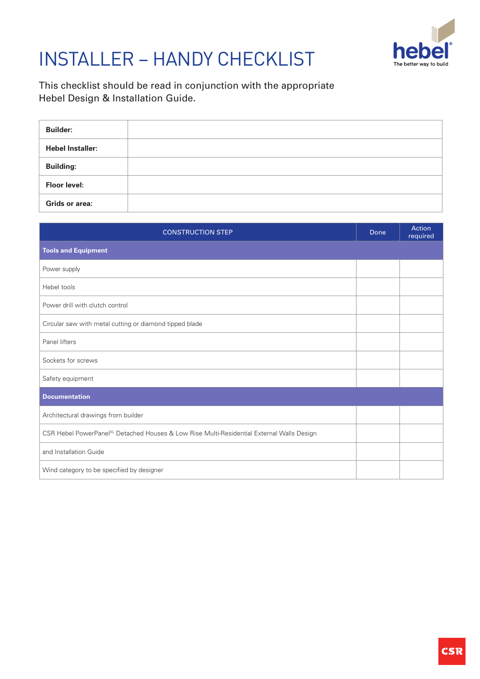

## INSTALLER – HANDY CHECKLIST

This checklist should be read in conjunction with the appropriate Hebel Design & Installation Guide.

| <b>Builder:</b>         |  |
|-------------------------|--|
| <b>Hebel Installer:</b> |  |
| <b>Building:</b>        |  |
| <b>Floor level:</b>     |  |
| Grids or area:          |  |

| <b>CONSTRUCTION STEP</b>                                                                              |  | Action<br>required |
|-------------------------------------------------------------------------------------------------------|--|--------------------|
| <b>Tools and Equipment</b>                                                                            |  |                    |
| Power supply                                                                                          |  |                    |
| Hebel tools                                                                                           |  |                    |
| Power drill with clutch control                                                                       |  |                    |
| Circular saw with metal cutting or diamond tipped blade                                               |  |                    |
| Panel lifters                                                                                         |  |                    |
| Sockets for screws                                                                                    |  |                    |
| Safety equipment                                                                                      |  |                    |
| <b>Documentation</b>                                                                                  |  |                    |
| Architectural drawings from builder                                                                   |  |                    |
| CSR Hebel PowerPanel <sup>XL</sup> Detached Houses & Low Rise Multi-Residential External Walls Design |  |                    |
| and Installation Guide                                                                                |  |                    |
| Wind category to be specified by designer                                                             |  |                    |